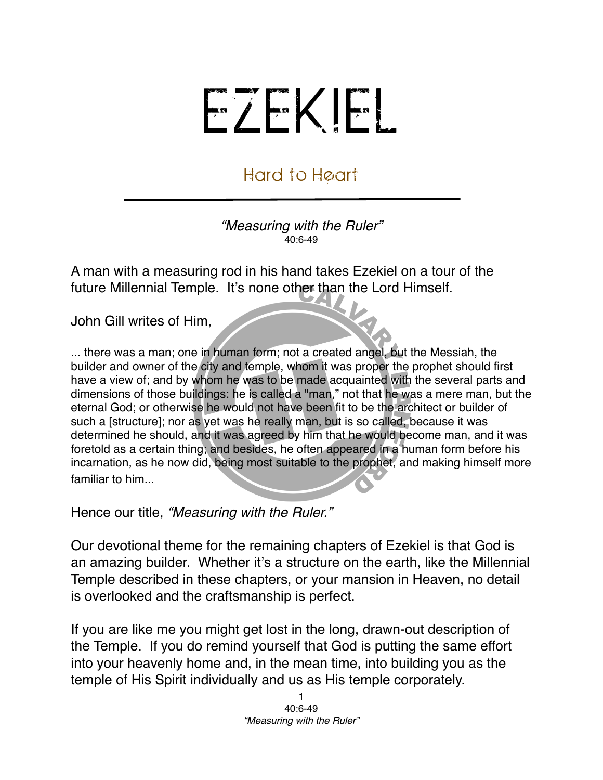## EZEKIEL

## Hard to Heart

*"Measuring with the Ruler"* 40:6-49

A man with a measuring rod in his hand takes Ezekiel on a tour of the future Millennial Temple. It's none other than the Lord Himself.

John Gill writes of Him,

... there was a man; one in human form; not a created angel, but the Messiah, the builder and owner of the city and temple, whom it was proper the prophet should first have a view of; and by whom he was to be made acquainted with the several parts and dimensions of those buildings: he is called a "man," not that he was a mere man, but the eternal God; or otherwise he would not have been fit to be the architect or builder of such a [structure]; nor as yet was he really man, but is so called, because it was determined he should, and it was agreed by him that he would become man, and it was foretold as a certain thing; and besides, he often appeared in a human form before his incarnation, as he now did, being most suitable to the prophet, and making himself more familiar to him...

Hence our title, *"Measuring with the Ruler."*

Our devotional theme for the remaining chapters of Ezekiel is that God is an amazing builder. Whether it's a structure on the earth, like the Millennial Temple described in these chapters, or your mansion in Heaven, no detail is overlooked and the craftsmanship is perfect.

If you are like me you might get lost in the long, drawn-out description of the Temple. If you do remind yourself that God is putting the same effort into your heavenly home and, in the mean time, into building you as the temple of His Spirit individually and us as His temple corporately.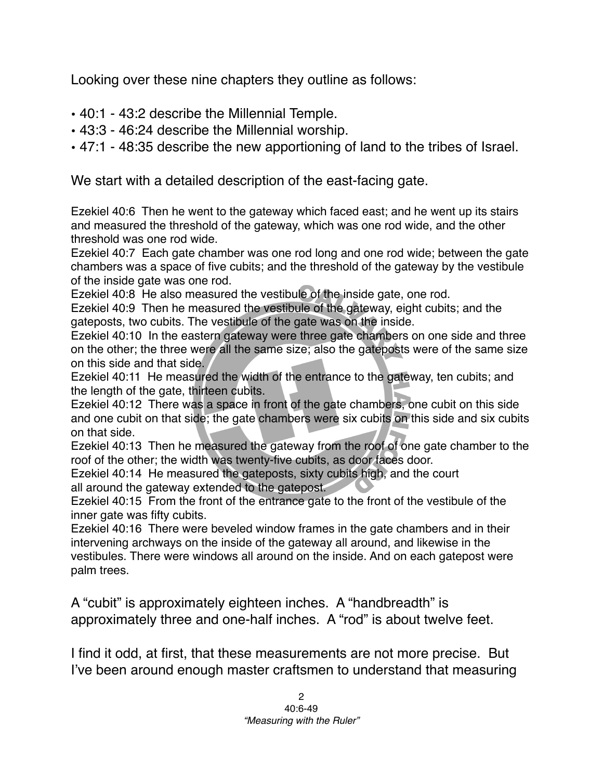Looking over these nine chapters they outline as follows:

- 40:1 43:2 describe the Millennial Temple.
- 43:3 46:24 describe the Millennial worship.
- 47:1 48:35 describe the new apportioning of land to the tribes of Israel.

We start with a detailed description of the east-facing gate.

Ezekiel 40:6 Then he went to the gateway which faced east; and he went up its stairs and measured the threshold of the gateway, which was one rod wide, and the other threshold was one rod wide.

Ezekiel 40:7 Each gate chamber was one rod long and one rod wide; between the gate chambers was a space of five cubits; and the threshold of the gateway by the vestibule of the inside gate was one rod.

Ezekiel 40:8 He also measured the vestibule of the inside gate, one rod.

Ezekiel 40:9 Then he measured the vestibule of the gateway, eight cubits; and the gateposts, two cubits. The vestibule of the gate was on the inside.

Ezekiel 40:10 In the eastern gateway were three gate chambers on one side and three on the other; the three were all the same size; also the gateposts were of the same size on this side and that side.

Ezekiel 40:11 He measured the width of the entrance to the gateway, ten cubits; and the length of the gate, thirteen cubits.

Ezekiel 40:12 There was a space in front of the gate chambers, one cubit on this side and one cubit on that side; the gate chambers were six cubits on this side and six cubits on that side.

Ezekiel 40:13 Then he measured the gateway from the roof of one gate chamber to the roof of the other; the width was twenty-five cubits, as door faces door.

Ezekiel 40:14 He measured the gateposts, sixty cubits high, and the court all around the gateway extended to the gatepost.

Ezekiel 40:15 From the front of the entrance gate to the front of the vestibule of the inner gate was fifty cubits.

Ezekiel 40:16 There were beveled window frames in the gate chambers and in their intervening archways on the inside of the gateway all around, and likewise in the vestibules. There were windows all around on the inside. And on each gatepost were palm trees.

A "cubit" is approximately eighteen inches. A "handbreadth" is approximately three and one-half inches. A "rod" is about twelve feet.

I find it odd, at first, that these measurements are not more precise. But I've been around enough master craftsmen to understand that measuring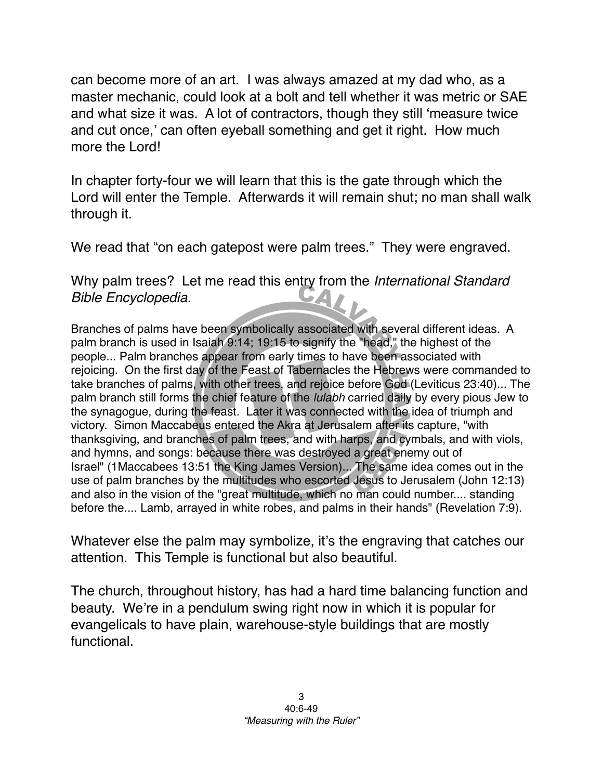can become more of an art. I was always amazed at my dad who, as a master mechanic, could look at a bolt and tell whether it was metric or SAE and what size it was. A lot of contractors, though they still ʻmeasure twice and cut once,' can often eyeball something and get it right. How much more the Lord!

In chapter forty-four we will learn that this is the gate through which the Lord will enter the Temple. Afterwards it will remain shut; no man shall walk through it.

We read that "on each gatepost were palm trees." They were engraved.

Why palm trees? Let me read this entry from the *International Standard Bible Encyclopedia.*

Branches of palms have been symbolically associated with several different ideas. A palm branch is used in Isaiah 9:14; 19:15 to signify the "head," the highest of the people... Palm branches appear from early times to have been associated with rejoicing. On the first day of the Feast of Tabernacles the Hebrews were commanded to take branches of palms, with other trees, and rejoice before God (Leviticus 23:40)... The palm branch still forms the chief feature of the *lulabh* carried daily by every pious Jew to the synagogue, during the feast. Later it was connected with the idea of triumph and victory. Simon Maccabeus entered the Akra at Jerusalem after its capture, "with thanksgiving, and branches of palm trees, and with harps, and cymbals, and with viols, and hymns, and songs: because there was destroyed a great enemy out of Israel" (1Maccabees 13:51 the King James Version)... The same idea comes out in the use of palm branches by the multitudes who escorted Jesus to Jerusalem (John 12:13) and also in the vision of the "great multitude, which no man could number.... standing before the.... Lamb, arrayed in white robes, and palms in their hands" (Revelation 7:9).

Whatever else the palm may symbolize, it's the engraving that catches our attention. This Temple is functional but also beautiful.

The church, throughout history, has had a hard time balancing function and beauty. We're in a pendulum swing right now in which it is popular for evangelicals to have plain, warehouse-style buildings that are mostly functional.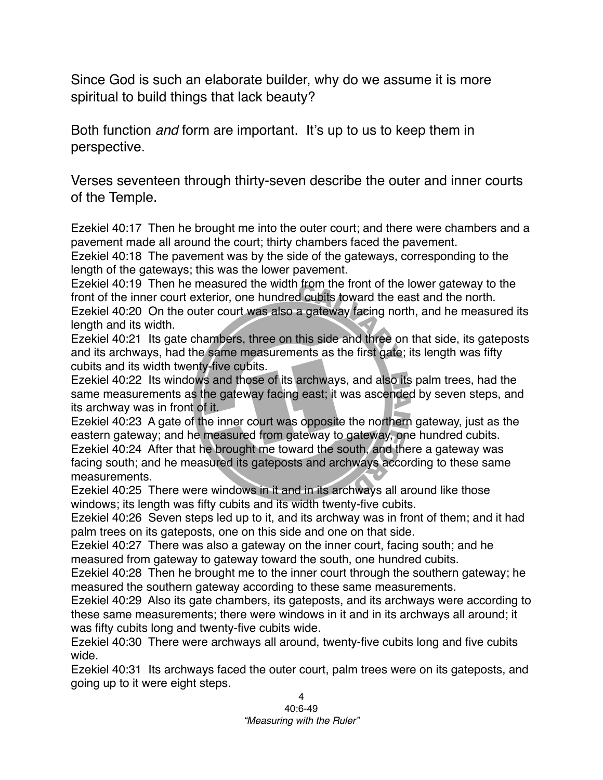Since God is such an elaborate builder, why do we assume it is more spiritual to build things that lack beauty?

Both function *and* form are important. It's up to us to keep them in perspective.

Verses seventeen through thirty-seven describe the outer and inner courts of the Temple.

Ezekiel 40:17 Then he brought me into the outer court; and there were chambers and a pavement made all around the court; thirty chambers faced the pavement.

Ezekiel 40:18 The pavement was by the side of the gateways, corresponding to the length of the gateways; this was the lower pavement.

Ezekiel 40:19 Then he measured the width from the front of the lower gateway to the front of the inner court exterior, one hundred cubits toward the east and the north.

Ezekiel 40:20 On the outer court was also a gateway facing north, and he measured its length and its width.

Ezekiel 40:21 Its gate chambers, three on this side and three on that side, its gateposts and its archways, had the same measurements as the first gate; its length was fifty cubits and its width twenty-five cubits.

Ezekiel 40:22 Its windows and those of its archways, and also its palm trees, had the same measurements as the gateway facing east; it was ascended by seven steps, and its archway was in front of it.

Ezekiel 40:23 A gate of the inner court was opposite the northern gateway, just as the eastern gateway; and he measured from gateway to gateway, one hundred cubits. Ezekiel 40:24 After that he brought me toward the south, and there a gateway was facing south; and he measured its gateposts and archways according to these same measurements.

Ezekiel 40:25 There were windows in it and in its archways all around like those windows; its length was fifty cubits and its width twenty-five cubits.

Ezekiel 40:26 Seven steps led up to it, and its archway was in front of them; and it had palm trees on its gateposts, one on this side and one on that side.

Ezekiel 40:27 There was also a gateway on the inner court, facing south; and he measured from gateway to gateway toward the south, one hundred cubits.

Ezekiel 40:28 Then he brought me to the inner court through the southern gateway; he measured the southern gateway according to these same measurements.

Ezekiel 40:29 Also its gate chambers, its gateposts, and its archways were according to these same measurements; there were windows in it and in its archways all around; it was fifty cubits long and twenty-five cubits wide.

Ezekiel 40:30 There were archways all around, twenty-five cubits long and five cubits wide.

Ezekiel 40:31 Its archways faced the outer court, palm trees were on its gateposts, and going up to it were eight steps.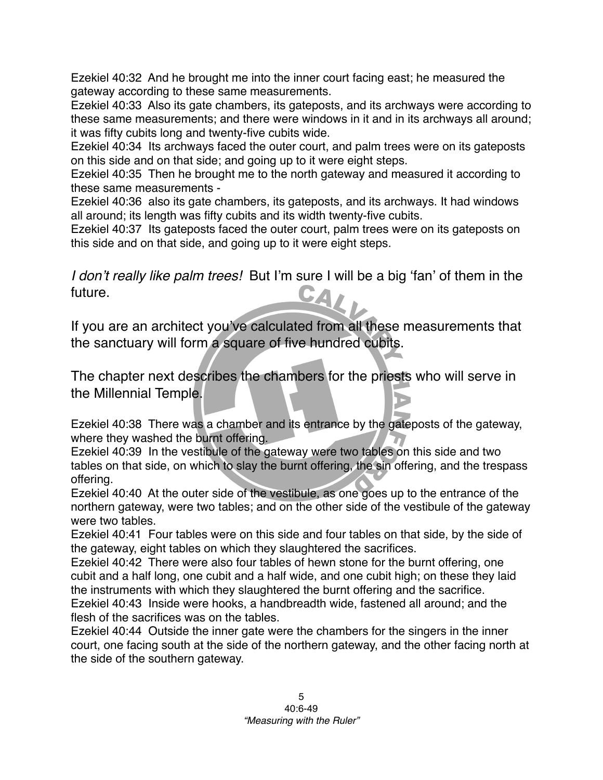Ezekiel 40:32 And he brought me into the inner court facing east; he measured the gateway according to these same measurements.

Ezekiel 40:33 Also its gate chambers, its gateposts, and its archways were according to these same measurements; and there were windows in it and in its archways all around; it was fifty cubits long and twenty-five cubits wide.

Ezekiel 40:34 Its archways faced the outer court, and palm trees were on its gateposts on this side and on that side; and going up to it were eight steps.

Ezekiel 40:35 Then he brought me to the north gateway and measured it according to these same measurements -

Ezekiel 40:36 also its gate chambers, its gateposts, and its archways. It had windows all around; its length was fifty cubits and its width twenty-five cubits.

Ezekiel 40:37 Its gateposts faced the outer court, palm trees were on its gateposts on this side and on that side, and going up to it were eight steps.

*I don't really like palm trees!* But I'm sure I will be a big 'fan' of them in the future. future.

If you are an architect you've calculated from all these measurements that the sanctuary will form a square of five hundred cubits.

The chapter next describes the chambers for the priests who will serve in the Millennial Temple.

Ezekiel 40:38 There was a chamber and its entrance by the gateposts of the gateway, where they washed the burnt offering.

Ezekiel 40:39 In the vestibule of the gateway were two tables on this side and two tables on that side, on which to slay the burnt offering, the sin offering, and the trespass offering.

Ezekiel 40:40 At the outer side of the vestibule, as one goes up to the entrance of the northern gateway, were two tables; and on the other side of the vestibule of the gateway were two tables.

Ezekiel 40:41 Four tables were on this side and four tables on that side, by the side of the gateway, eight tables on which they slaughtered the sacrifices.

Ezekiel 40:42 There were also four tables of hewn stone for the burnt offering, one cubit and a half long, one cubit and a half wide, and one cubit high; on these they laid the instruments with which they slaughtered the burnt offering and the sacrifice. Ezekiel 40:43 Inside were hooks, a handbreadth wide, fastened all around; and the flesh of the sacrifices was on the tables.

Ezekiel 40:44 Outside the inner gate were the chambers for the singers in the inner court, one facing south at the side of the northern gateway, and the other facing north at the side of the southern gateway.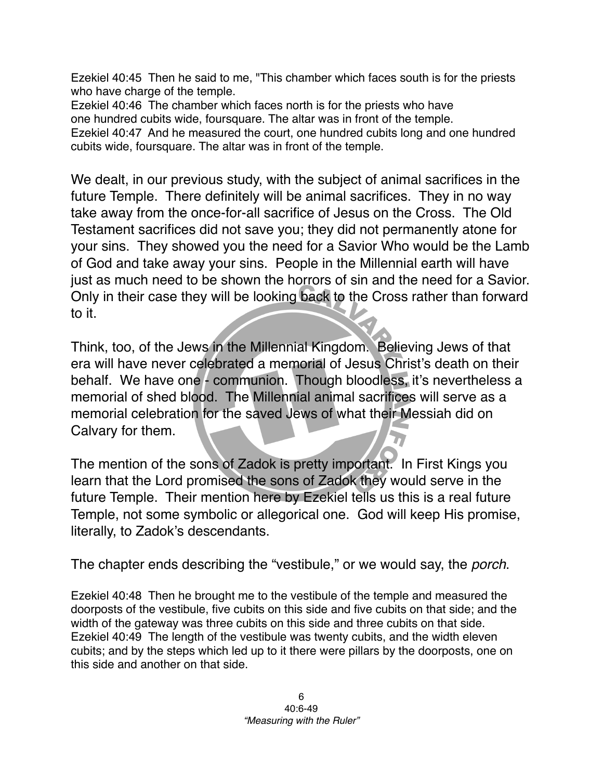Ezekiel 40:45 Then he said to me, "This chamber which faces south is for the priests who have charge of the temple.

Ezekiel 40:46 The chamber which faces north is for the priests who have one hundred cubits wide, foursquare. The altar was in front of the temple. Ezekiel 40:47 And he measured the court, one hundred cubits long and one hundred cubits wide, foursquare. The altar was in front of the temple.

We dealt, in our previous study, with the subject of animal sacrifices in the future Temple. There definitely will be animal sacrifices. They in no way take away from the once-for-all sacrifice of Jesus on the Cross. The Old Testament sacrifices did not save you; they did not permanently atone for your sins. They showed you the need for a Savior Who would be the Lamb of God and take away your sins. People in the Millennial earth will have just as much need to be shown the horrors of sin and the need for a Savior. Only in their case they will be looking back to the Cross rather than forward to it.

Think, too, of the Jews in the Millennial Kingdom. Believing Jews of that era will have never celebrated a memorial of Jesus Christ's death on their behalf. We have one - communion. Though bloodless, it's nevertheless a memorial of shed blood. The Millennial animal sacrifices will serve as a memorial celebration for the saved Jews of what their Messiah did on Calvary for them.

The mention of the sons of Zadok is pretty important. In First Kings you learn that the Lord promised the sons of Zadok they would serve in the future Temple. Their mention here by Ezekiel tells us this is a real future Temple, not some symbolic or allegorical one. God will keep His promise, literally, to Zadok's descendants.

The chapter ends describing the "vestibule," or we would say, the *porch*.

Ezekiel 40:48 Then he brought me to the vestibule of the temple and measured the doorposts of the vestibule, five cubits on this side and five cubits on that side; and the width of the gateway was three cubits on this side and three cubits on that side. Ezekiel 40:49 The length of the vestibule was twenty cubits, and the width eleven cubits; and by the steps which led up to it there were pillars by the doorposts, one on this side and another on that side.